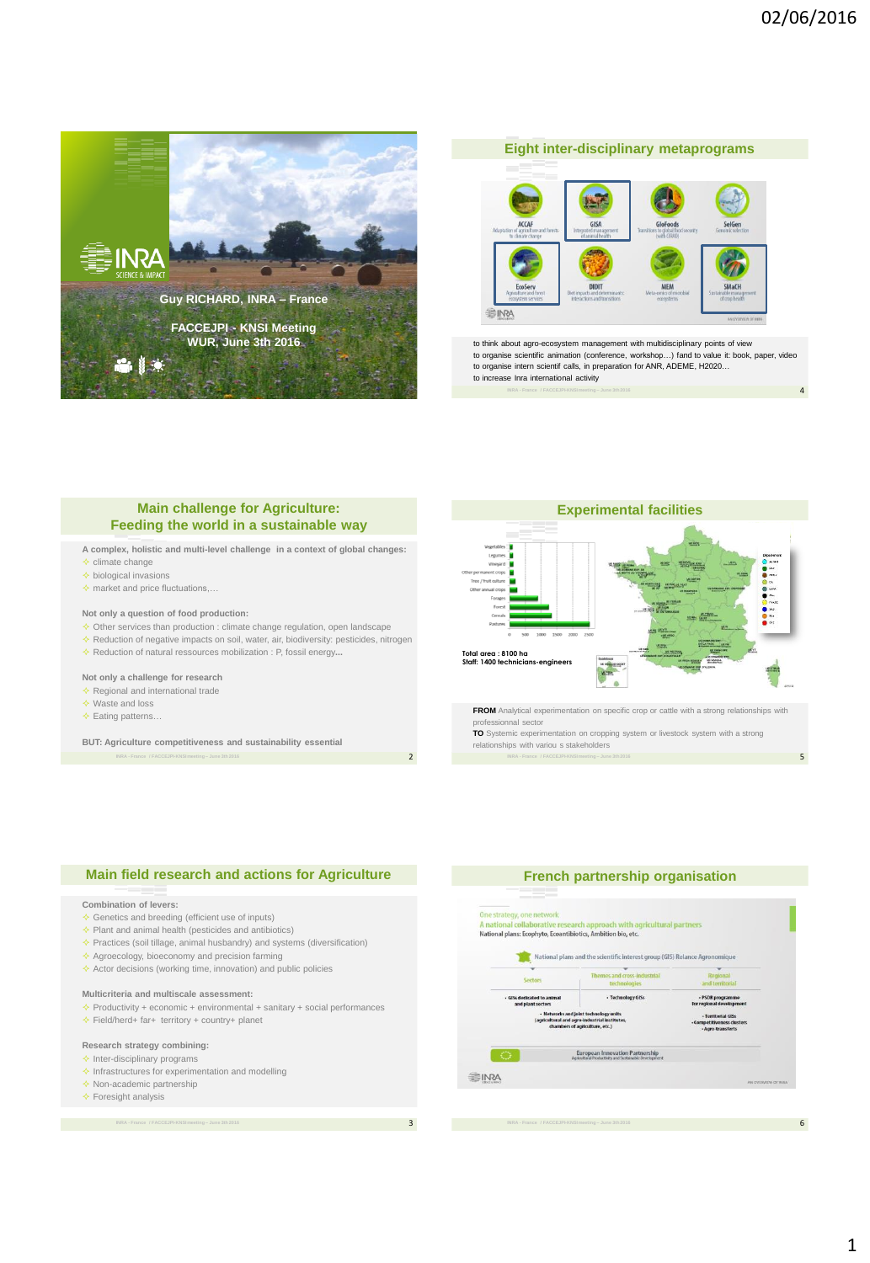4

5



# 座 GISA **BINKA**

**Eight inter-disciplinary metaprograms**

to think about agro-ecosystem management with multidisciplinary points of view to organise scientific animation (conference, workshop…) fand to value it: book, paper, video to organise intern scientif calls, in preparation for ANR, ADEME, H2020… to increase Inra international activity

## **Main challenge for Agriculture: Feeding the world in a sustainable way**

- **A complex, holistic and multi-level challenge in a context of global changes:**
- $\triangle$  climate change
- $\triangle$  biological invasions
- $\Diamond$  market and price fluctuations,

#### **Not only a question of food production:**

- $\diamond$  Other services than production : climate change regulation, open landscape
- $\Diamond$  Reduction of negative impacts on soil, water, air, biodiversity: pesticides, nitrogen
- Reduction of natural ressources mobilization : P, fossil energy**...**

#### **Not only a challenge for research**

- $\triangle$  Regional and international trade
- $\triangle$  Waste and loss
- $\triangle$  Eating patterns.

**BUT: Agriculture competitiveness and sustainability essential**



professionnal sector

**TO** Systemic experimentation on cropping system or livestock system with a strong relationships with variou s stakeholders

#### **Main field research and actions for Agriculture**

#### **Combination of levers:**

- $\triangle$  Genetics and breeding (efficient use of inputs)
- $\triangle$  Plant and animal health (pesticides and antibiotics)
- $\triangle$  Practices (soil tillage, animal husbandry) and systems (diversification)
- $\triangle$  Agroecology, bioeconomy and precision farming
- $\triangle$  Actor decisions (working time, innovation) and public policies

### **Multicriteria and multiscale assessment:**

- $\triangle$  Productivity + economic + environmental + sanitary + social performances  $\div$  Field/herd+ far+ territory + country+ planet
- 

#### **Research strategy combining:**

- $\triangle$  Inter-disciplinary programs
- $\triangle$  Infrastructures for experimentation and modelling  $\triangle$  Non-academic partnership
- $\div$  Foresight analysis

3

2



6